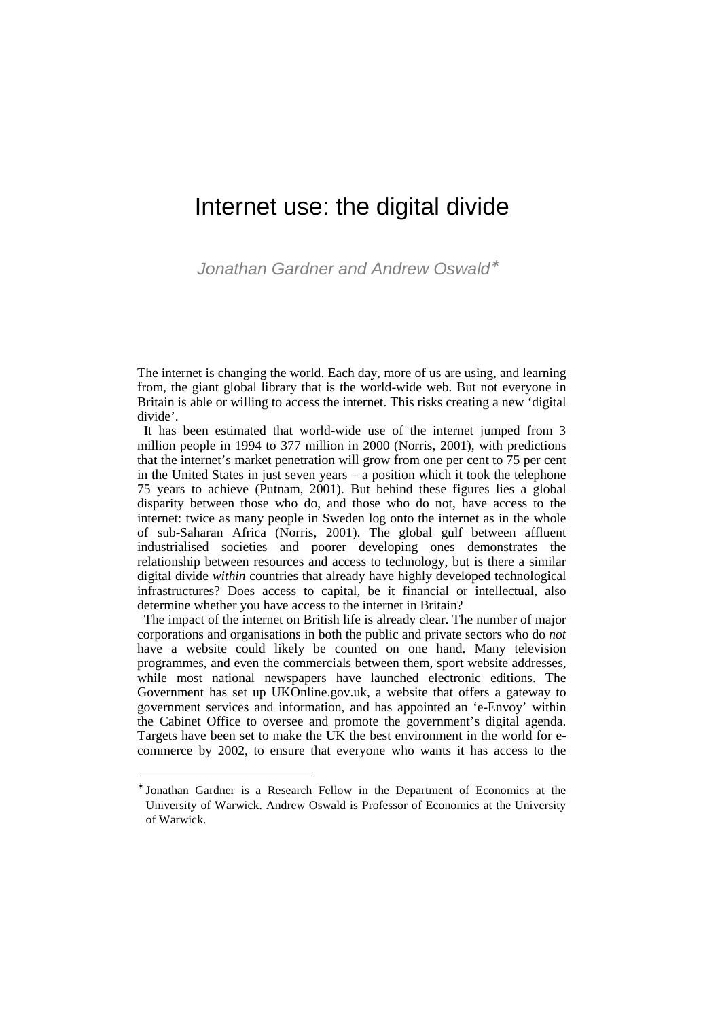*Jonathan Gardner and Andrew Oswald*<sup>∗</sup>

The internet is changing the world. Each day, more of us are using, and learning from, the giant global library that is the world-wide web. But not everyone in Britain is able or willing to access the internet. This risks creating a new 'digital divide'.

 It has been estimated that world-wide use of the internet jumped from 3 million people in 1994 to 377 million in 2000 (Norris, 2001), with predictions that the internet's market penetration will grow from one per cent to  $75$  per cent in the United States in just seven years – a position which it took the telephone 75 years to achieve (Putnam, 2001). But behind these figures lies a global disparity between those who do, and those who do not, have access to the internet: twice as many people in Sweden log onto the internet as in the whole of sub-Saharan Africa (Norris, 2001). The global gulf between affluent industrialised societies and poorer developing ones demonstrates the relationship between resources and access to technology, but is there a similar digital divide *within* countries that already have highly developed technological infrastructures? Does access to capital, be it financial or intellectual, also determine whether you have access to the internet in Britain?

 The impact of the internet on British life is already clear. The number of major corporations and organisations in both the public and private sectors who do *not*  have a website could likely be counted on one hand. Many television programmes, and even the commercials between them, sport website addresses, while most national newspapers have launched electronic editions. The Government has set up UKOnline.gov.uk, a website that offers a gateway to government services and information, and has appointed an 'e-Envoy' within the Cabinet Office to oversee and promote the government's digital agenda. Targets have been set to make the UK the best environment in the world for ecommerce by 2002, to ensure that everyone who wants it has access to the

 $\overline{a}$ 

Jonathan Gardner is a Research Fellow in the Department of Economics at the University of Warwick. Andrew Oswald is Professor of Economics at the University of Warwick.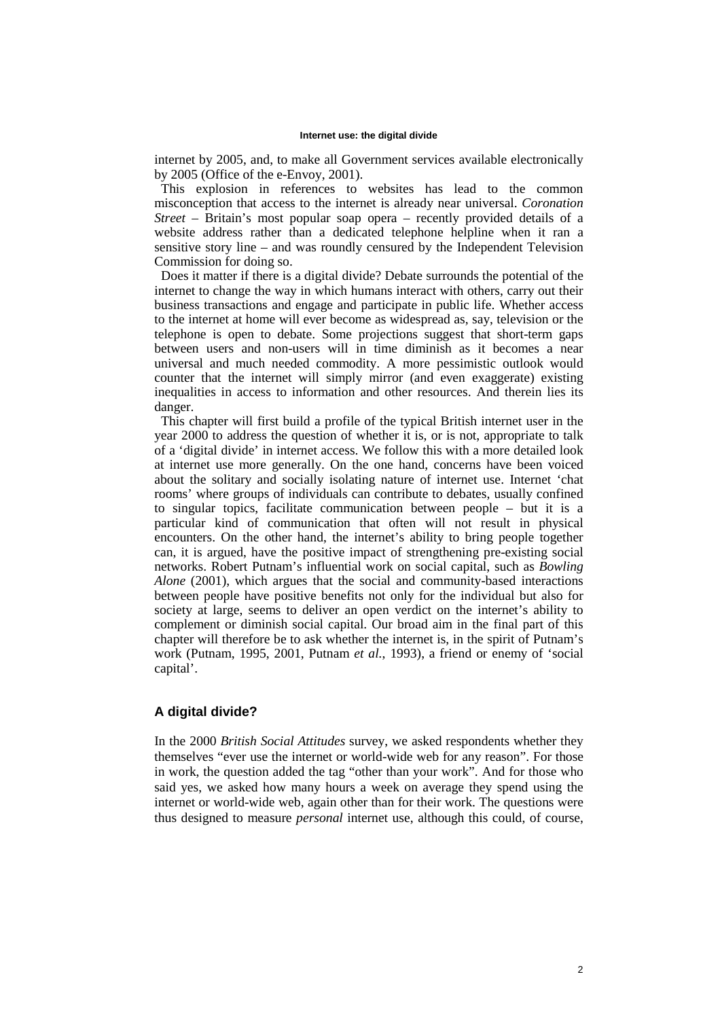internet by 2005, and, to make all Government services available electronically by 2005 (Office of the e-Envoy, 2001).

 This explosion in references to websites has lead to the common misconception that access to the internet is already near universal. *Coronation Street* – Britain's most popular soap opera – recently provided details of a website address rather than a dedicated telephone helpline when it ran a sensitive story line – and was roundly censured by the Independent Television Commission for doing so.

 Does it matter if there is a digital divide? Debate surrounds the potential of the internet to change the way in which humans interact with others, carry out their business transactions and engage and participate in public life. Whether access to the internet at home will ever become as widespread as, say, television or the telephone is open to debate. Some projections suggest that short-term gaps between users and non-users will in time diminish as it becomes a near universal and much needed commodity. A more pessimistic outlook would counter that the internet will simply mirror (and even exaggerate) existing inequalities in access to information and other resources. And therein lies its danger.

 This chapter will first build a profile of the typical British internet user in the year 2000 to address the question of whether it is, or is not, appropriate to talk of a 'digital divide' in internet access. We follow this with a more detailed look at internet use more generally. On the one hand, concerns have been voiced about the solitary and socially isolating nature of internet use. Internet 'chat rooms' where groups of individuals can contribute to debates, usually confined to singular topics, facilitate communication between people – but it is a particular kind of communication that often will not result in physical encounters. On the other hand, the internet's ability to bring people together can, it is argued, have the positive impact of strengthening pre-existing social networks. Robert Putnam's influential work on social capital, such as *Bowling Alone* (2001), which argues that the social and community-based interactions between people have positive benefits not only for the individual but also for society at large, seems to deliver an open verdict on the internet's ability to complement or diminish social capital. Our broad aim in the final part of this chapter will therefore be to ask whether the internet is, in the spirit of Putnam's work (Putnam, 1995, 2001, Putnam *et al.*, 1993), a friend or enemy of 'social capital'.

# **A digital divide?**

In the 2000 *British Social Attitudes* survey, we asked respondents whether they themselves "ever use the internet or world-wide web for any reason". For those in work, the question added the tag "other than your work". And for those who said yes, we asked how many hours a week on average they spend using the internet or world-wide web, again other than for their work. The questions were thus designed to measure *personal* internet use, although this could, of course,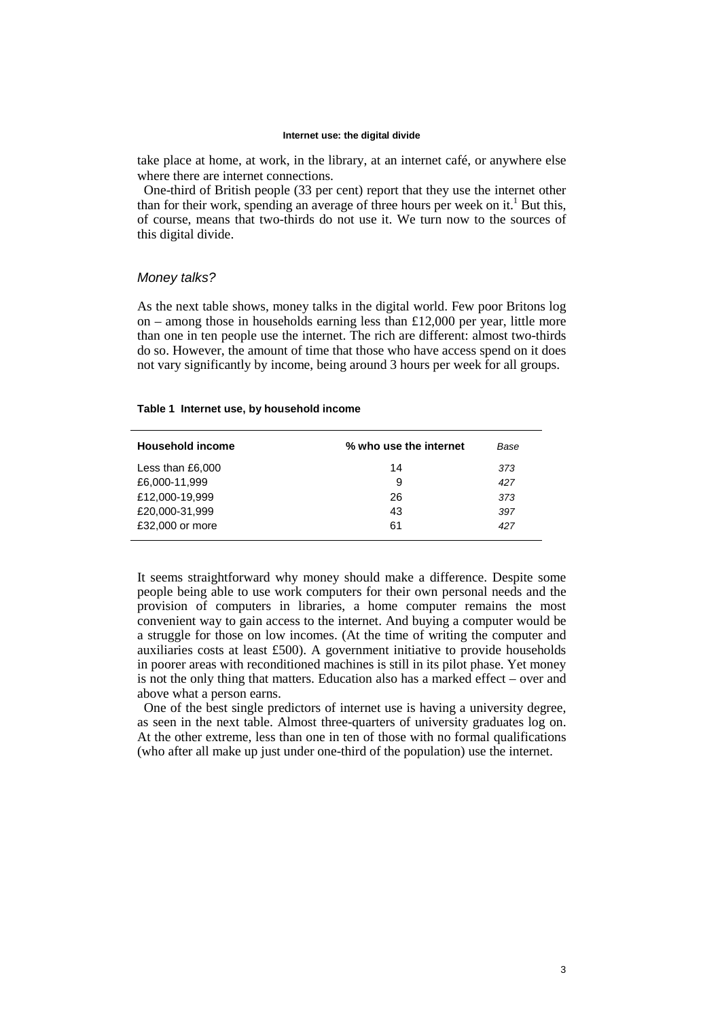take place at home, at work, in the library, at an internet café, or anywhere else where there are internet connections.

 One-third of British people (33 per cent) report that they use the internet other than for their work, spending an average of three hours per week on it.<sup>1</sup> But this, of course, means that two-thirds do not use it. We turn now to the sources of this digital divide.

# *Money talks?*

As the next table shows, money talks in the digital world. Few poor Britons log on – among those in households earning less than £12,000 per year, little more than one in ten people use the internet. The rich are different: almost two-thirds do so. However, the amount of time that those who have access spend on it does not vary significantly by income, being around 3 hours per week for all groups.

#### **Table 1 Internet use, by household income**

| <b>Household income</b> | % who use the internet | Base |
|-------------------------|------------------------|------|
| Less than £6,000        | 14                     | 373  |
| £6,000-11,999           | 9                      | 427  |
| £12,000-19,999          | 26                     | 373  |
| £20,000-31,999          | 43                     | 397  |
| £32,000 or more         | 61                     | 427  |

It seems straightforward why money should make a difference. Despite some people being able to use work computers for their own personal needs and the provision of computers in libraries, a home computer remains the most convenient way to gain access to the internet. And buying a computer would be a struggle for those on low incomes. (At the time of writing the computer and auxiliaries costs at least £500). A government initiative to provide households in poorer areas with reconditioned machines is still in its pilot phase. Yet money is not the only thing that matters. Education also has a marked effect – over and above what a person earns.

 One of the best single predictors of internet use is having a university degree, as seen in the next table. Almost three-quarters of university graduates log on. At the other extreme, less than one in ten of those with no formal qualifications (who after all make up just under one-third of the population) use the internet.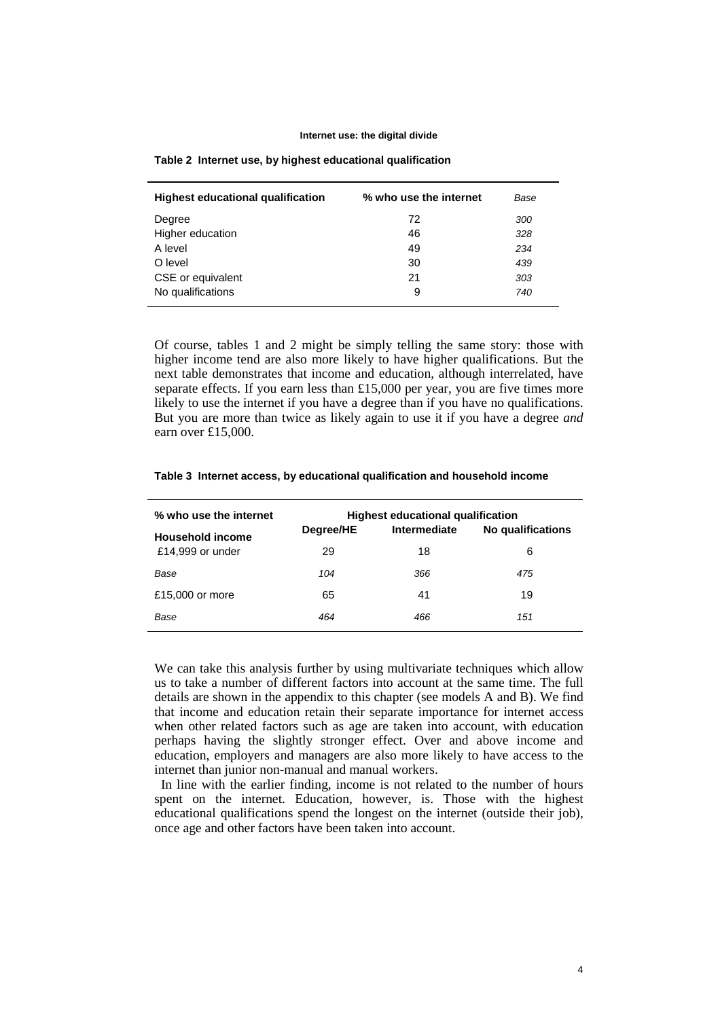| Highest educational qualification | % who use the internet | Base |
|-----------------------------------|------------------------|------|
| Degree                            | 72                     | 300  |
| Higher education                  | 46                     | 328  |
| A level                           | 49                     | 234  |
| O level                           | 30                     | 439  |
| CSE or equivalent                 | 21                     | 303  |
| No qualifications                 | 9                      | 740  |

|  |  |  |  |  | Table 2 Internet use, by highest educational qualification |
|--|--|--|--|--|------------------------------------------------------------|
|--|--|--|--|--|------------------------------------------------------------|

Of course, tables 1 and 2 might be simply telling the same story: those with higher income tend are also more likely to have higher qualifications. But the next table demonstrates that income and education, although interrelated, have separate effects. If you earn less than £15,000 per year, you are five times more likely to use the internet if you have a degree than if you have no qualifications. But you are more than twice as likely again to use it if you have a degree *and* earn over £15,000.

| % who use the internet  | <b>Highest educational qualification</b> |              |                   |  |
|-------------------------|------------------------------------------|--------------|-------------------|--|
| <b>Household income</b> | Degree/HE                                | Intermediate | No qualifications |  |
| £14,999 or under        | 29                                       | 18           | 6                 |  |
| Base                    | 104                                      | 366          | 475               |  |
| £15,000 or more         | 65                                       | 41           | 19                |  |
| Base                    | 464                                      | 466          | 151               |  |

### **Table 3 Internet access, by educational qualification and household income**

We can take this analysis further by using multivariate techniques which allow us to take a number of different factors into account at the same time. The full details are shown in the appendix to this chapter (see models A and B). We find that income and education retain their separate importance for internet access when other related factors such as age are taken into account, with education perhaps having the slightly stronger effect. Over and above income and education, employers and managers are also more likely to have access to the internet than junior non-manual and manual workers.

 In line with the earlier finding, income is not related to the number of hours spent on the internet. Education, however, is. Those with the highest educational qualifications spend the longest on the internet (outside their job), once age and other factors have been taken into account.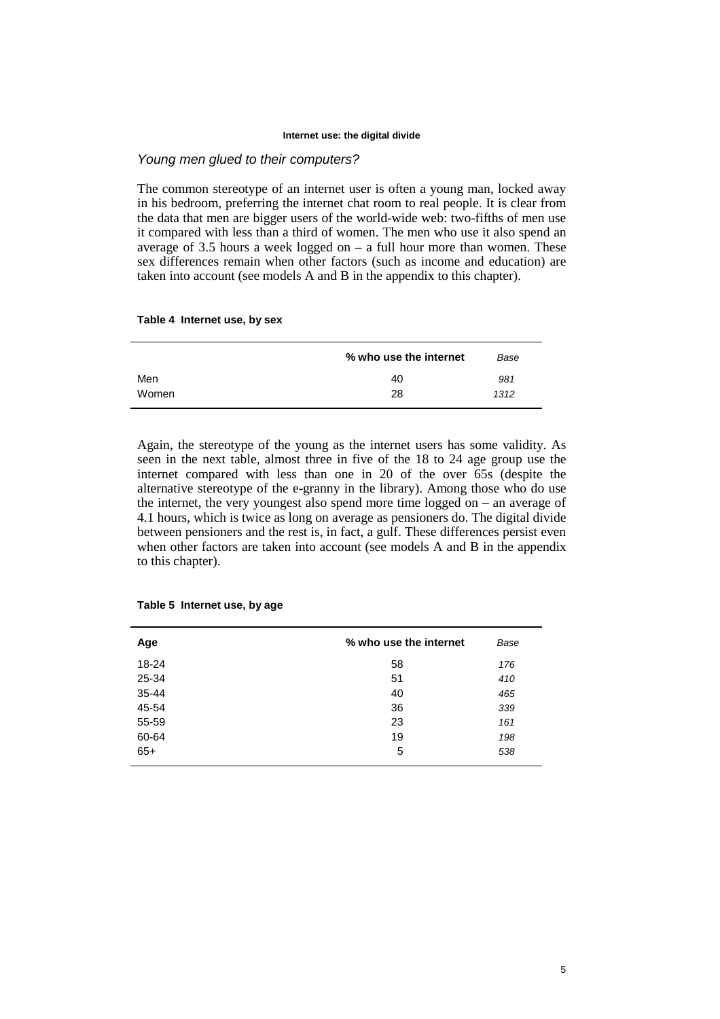#### *Young men glued to their computers?*

The common stereotype of an internet user is often a young man, locked away in his bedroom, preferring the internet chat room to real people. It is clear from the data that men are bigger users of the world-wide web: two-fifths of men use it compared with less than a third of women. The men who use it also spend an average of 3.5 hours a week logged on  $-$  a full hour more than women. These sex differences remain when other factors (such as income and education) are taken into account (see models A and B in the appendix to this chapter).

#### **Table 4 Internet use, by sex**

|       | % who use the internet | Base |
|-------|------------------------|------|
| Men   | 40                     | 981  |
| Women | 28                     | 1312 |
|       |                        |      |

Again, the stereotype of the young as the internet users has some validity. As seen in the next table, almost three in five of the 18 to 24 age group use the internet compared with less than one in 20 of the over 65s (despite the alternative stereotype of the e-granny in the library). Among those who do use the internet, the very youngest also spend more time logged on – an average of 4.1 hours, which is twice as long on average as pensioners do. The digital divide between pensioners and the rest is, in fact, a gulf. These differences persist even when other factors are taken into account (see models A and B in the appendix to this chapter).

| Age   | % who use the internet | Base |
|-------|------------------------|------|
| 18-24 | 58                     | 176  |
| 25-34 | 51                     | 410  |
| 35-44 | 40                     | 465  |
| 45-54 | 36                     | 339  |
| 55-59 | 23                     | 161  |
| 60-64 | 19                     | 198  |
| $65+$ | 5                      | 538  |

### **Table 5 Internet use, by age**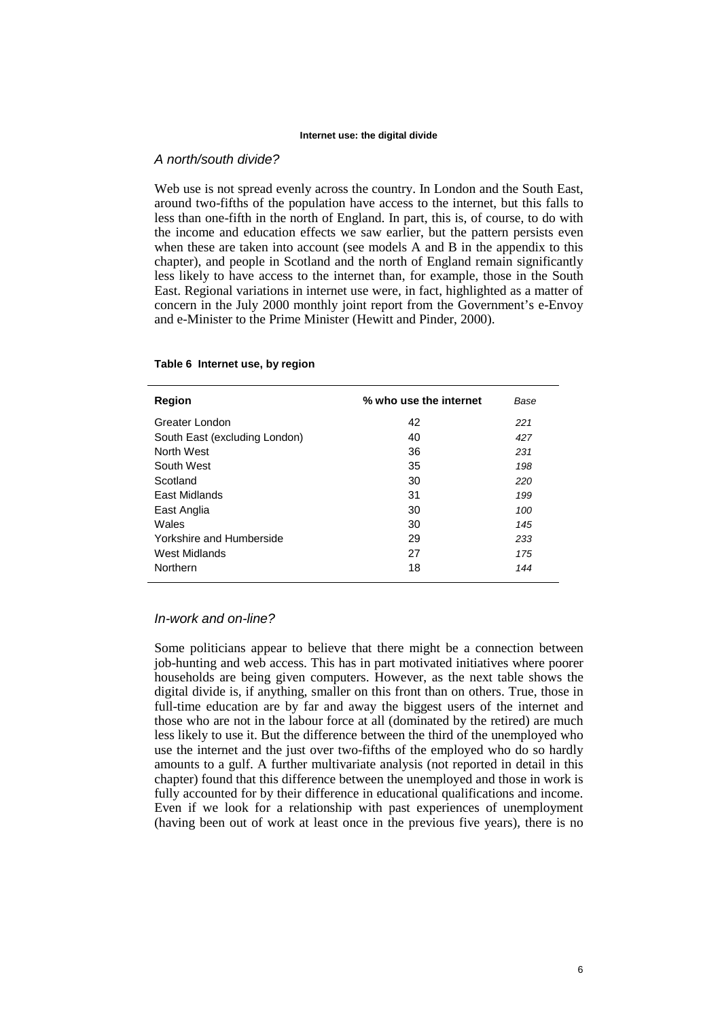### *A north/south divide?*

Web use is not spread evenly across the country. In London and the South East, around two-fifths of the population have access to the internet, but this falls to less than one-fifth in the north of England. In part, this is, of course, to do with the income and education effects we saw earlier, but the pattern persists even when these are taken into account (see models A and B in the appendix to this chapter), and people in Scotland and the north of England remain significantly less likely to have access to the internet than, for example, those in the South East. Regional variations in internet use were, in fact, highlighted as a matter of concern in the July 2000 monthly joint report from the Government's e-Envoy and e-Minister to the Prime Minister (Hewitt and Pinder, 2000).

| <b>Region</b>                 | % who use the internet | Base |
|-------------------------------|------------------------|------|
| Greater London                | 42                     | 221  |
| South East (excluding London) | 40                     | 427  |
| North West                    | 36                     | 231  |
| South West                    | 35                     | 198  |
| Scotland                      | 30                     | 220  |
| East Midlands                 | 31                     | 199  |
| East Anglia                   | 30                     | 100  |
| Wales                         | 30                     | 145  |
| Yorkshire and Humberside      | 29                     | 233  |
| West Midlands                 | 27                     | 175  |
| Northern                      | 18                     | 144  |

# **Table 6 Internet use, by region**

# *In-work and on-line?*

Some politicians appear to believe that there might be a connection between job-hunting and web access. This has in part motivated initiatives where poorer households are being given computers. However, as the next table shows the digital divide is, if anything, smaller on this front than on others. True, those in full-time education are by far and away the biggest users of the internet and those who are not in the labour force at all (dominated by the retired) are much less likely to use it. But the difference between the third of the unemployed who use the internet and the just over two-fifths of the employed who do so hardly amounts to a gulf. A further multivariate analysis (not reported in detail in this chapter) found that this difference between the unemployed and those in work is fully accounted for by their difference in educational qualifications and income. Even if we look for a relationship with past experiences of unemployment (having been out of work at least once in the previous five years), there is no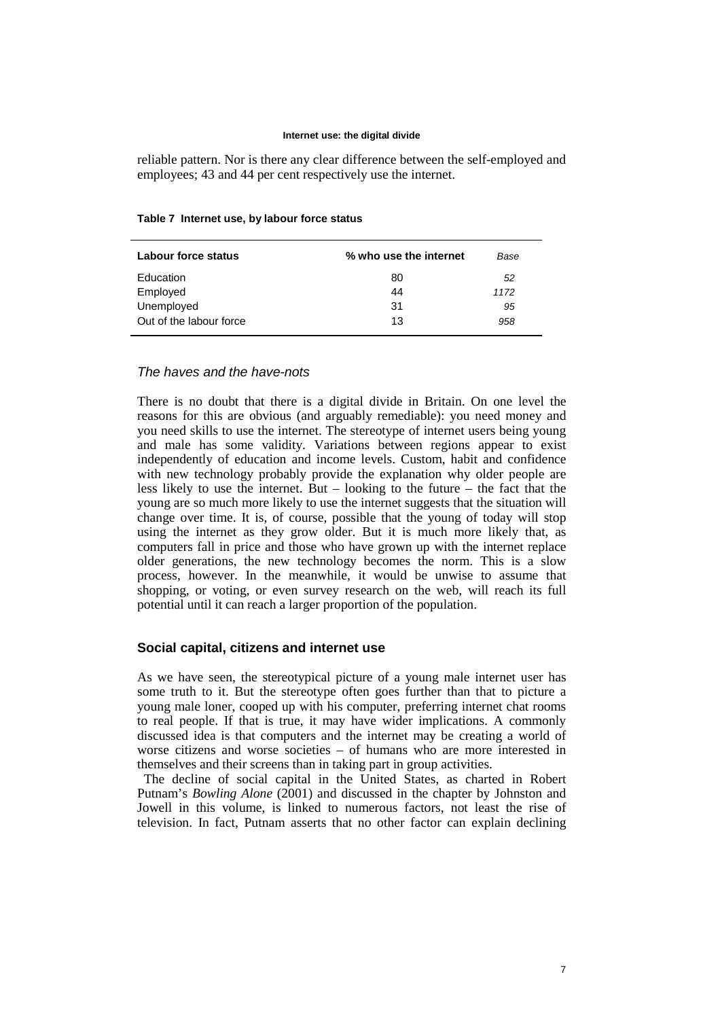reliable pattern. Nor is there any clear difference between the self-employed and employees; 43 and 44 per cent respectively use the internet.

| Labour force status     | % who use the internet | Base |
|-------------------------|------------------------|------|
| Education               | 80                     | 52   |
| Employed                | 44                     | 1172 |
| Unemployed              | 31                     | 95   |
| Out of the labour force | 13                     | 958  |

**Table 7 Internet use, by labour force status** 

# *The haves and the have-nots*

There is no doubt that there is a digital divide in Britain. On one level the reasons for this are obvious (and arguably remediable): you need money and you need skills to use the internet. The stereotype of internet users being young and male has some validity. Variations between regions appear to exist independently of education and income levels. Custom, habit and confidence with new technology probably provide the explanation why older people are less likely to use the internet. But – looking to the future – the fact that the young are so much more likely to use the internet suggests that the situation will change over time. It is, of course, possible that the young of today will stop using the internet as they grow older. But it is much more likely that, as computers fall in price and those who have grown up with the internet replace older generations, the new technology becomes the norm. This is a slow process, however. In the meanwhile, it would be unwise to assume that shopping, or voting, or even survey research on the web, will reach its full potential until it can reach a larger proportion of the population.

# **Social capital, citizens and internet use**

As we have seen, the stereotypical picture of a young male internet user has some truth to it. But the stereotype often goes further than that to picture a young male loner, cooped up with his computer, preferring internet chat rooms to real people. If that is true, it may have wider implications. A commonly discussed idea is that computers and the internet may be creating a world of worse citizens and worse societies – of humans who are more interested in themselves and their screens than in taking part in group activities.

 The decline of social capital in the United States, as charted in Robert Putnam's *Bowling Alone* (2001) and discussed in the chapter by Johnston and Jowell in this volume, is linked to numerous factors, not least the rise of television. In fact, Putnam asserts that no other factor can explain declining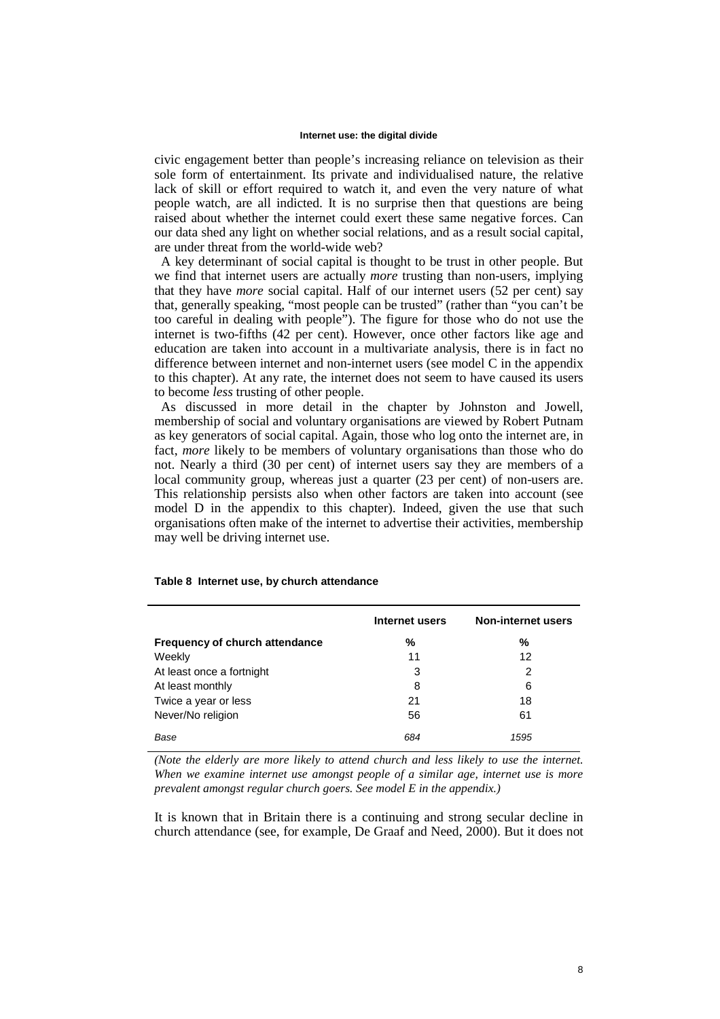civic engagement better than people's increasing reliance on television as their sole form of entertainment. Its private and individualised nature, the relative lack of skill or effort required to watch it, and even the very nature of what people watch, are all indicted. It is no surprise then that questions are being raised about whether the internet could exert these same negative forces. Can our data shed any light on whether social relations, and as a result social capital, are under threat from the world-wide web?

 A key determinant of social capital is thought to be trust in other people. But we find that internet users are actually *more* trusting than non-users, implying that they have *more* social capital. Half of our internet users (52 per cent) say that, generally speaking, "most people can be trusted" (rather than "you can't be too careful in dealing with people"). The figure for those who do not use the internet is two-fifths (42 per cent). However, once other factors like age and education are taken into account in a multivariate analysis, there is in fact no difference between internet and non-internet users (see model C in the appendix to this chapter). At any rate, the internet does not seem to have caused its users to become *less* trusting of other people.

 As discussed in more detail in the chapter by Johnston and Jowell, membership of social and voluntary organisations are viewed by Robert Putnam as key generators of social capital. Again, those who log onto the internet are, in fact, *more* likely to be members of voluntary organisations than those who do not. Nearly a third (30 per cent) of internet users say they are members of a local community group, whereas just a quarter (23 per cent) of non-users are. This relationship persists also when other factors are taken into account (see model D in the appendix to this chapter). Indeed, given the use that such organisations often make of the internet to advertise their activities, membership may well be driving internet use.

|                                | Internet users | Non-internet users |
|--------------------------------|----------------|--------------------|
| Frequency of church attendance | %              | %                  |
| Weekly                         | 11             | 12                 |
| At least once a fortnight      | 3              | 2                  |
| At least monthly               | 8              | 6                  |
| Twice a year or less           | 21             | 18                 |
| Never/No religion              | 56             | 61                 |
| Base                           | 684            | 1595               |

#### **Table 8 Internet use, by church attendance**

*(Note the elderly are more likely to attend church and less likely to use the internet. When we examine internet use amongst people of a similar age, internet use is more prevalent amongst regular church goers. See model E in the appendix.)* 

It is known that in Britain there is a continuing and strong secular decline in church attendance (see, for example, De Graaf and Need, 2000). But it does not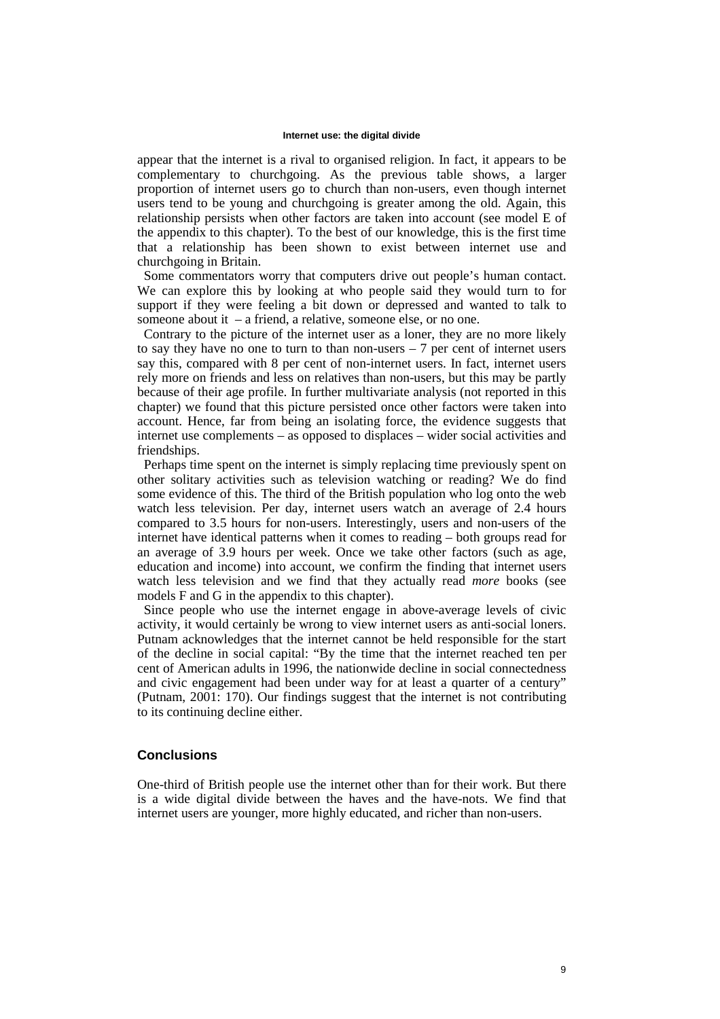appear that the internet is a rival to organised religion. In fact, it appears to be complementary to churchgoing. As the previous table shows, a larger proportion of internet users go to church than non-users, even though internet users tend to be young and churchgoing is greater among the old. Again, this relationship persists when other factors are taken into account (see model E of the appendix to this chapter). To the best of our knowledge, this is the first time that a relationship has been shown to exist between internet use and churchgoing in Britain.

 Some commentators worry that computers drive out people's human contact. We can explore this by looking at who people said they would turn to for support if they were feeling a bit down or depressed and wanted to talk to someone about it – a friend, a relative, someone else, or no one.

 Contrary to the picture of the internet user as a loner, they are no more likely to say they have no one to turn to than non-users  $-7$  per cent of internet users say this, compared with 8 per cent of non-internet users. In fact, internet users rely more on friends and less on relatives than non-users, but this may be partly because of their age profile. In further multivariate analysis (not reported in this chapter) we found that this picture persisted once other factors were taken into account. Hence, far from being an isolating force, the evidence suggests that internet use complements – as opposed to displaces – wider social activities and friendships.

 Perhaps time spent on the internet is simply replacing time previously spent on other solitary activities such as television watching or reading? We do find some evidence of this. The third of the British population who log onto the web watch less television. Per day, internet users watch an average of 2.4 hours compared to 3.5 hours for non-users. Interestingly, users and non-users of the internet have identical patterns when it comes to reading – both groups read for an average of 3.9 hours per week. Once we take other factors (such as age, education and income) into account, we confirm the finding that internet users watch less television and we find that they actually read *more* books (see models F and G in the appendix to this chapter).

 Since people who use the internet engage in above-average levels of civic activity, it would certainly be wrong to view internet users as anti-social loners. Putnam acknowledges that the internet cannot be held responsible for the start of the decline in social capital: "By the time that the internet reached ten per cent of American adults in 1996, the nationwide decline in social connectedness and civic engagement had been under way for at least a quarter of a century" (Putnam, 2001: 170). Our findings suggest that the internet is not contributing to its continuing decline either.

# **Conclusions**

One-third of British people use the internet other than for their work. But there is a wide digital divide between the haves and the have-nots. We find that internet users are younger, more highly educated, and richer than non-users.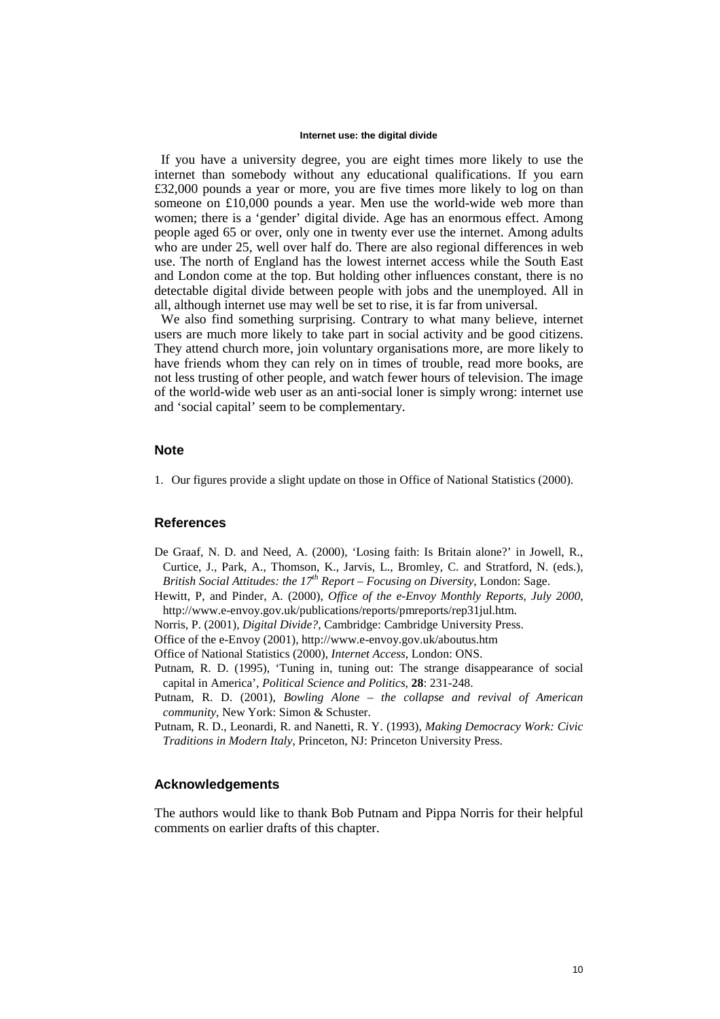If you have a university degree, you are eight times more likely to use the internet than somebody without any educational qualifications. If you earn £32,000 pounds a year or more, you are five times more likely to log on than someone on £10,000 pounds a year. Men use the world-wide web more than women; there is a 'gender' digital divide. Age has an enormous effect. Among people aged 65 or over, only one in twenty ever use the internet. Among adults who are under 25, well over half do. There are also regional differences in web use. The north of England has the lowest internet access while the South East and London come at the top. But holding other influences constant, there is no detectable digital divide between people with jobs and the unemployed. All in all, although internet use may well be set to rise, it is far from universal.

 We also find something surprising. Contrary to what many believe, internet users are much more likely to take part in social activity and be good citizens. They attend church more, join voluntary organisations more, are more likely to have friends whom they can rely on in times of trouble, read more books, are not less trusting of other people, and watch fewer hours of television. The image of the world-wide web user as an anti-social loner is simply wrong: internet use and 'social capital' seem to be complementary.

## **Note**

1. Our figures provide a slight update on those in Office of National Statistics (2000).

#### **References**

- De Graaf, N. D. and Need, A. (2000), 'Losing faith: Is Britain alone?' in Jowell, R., Curtice, J., Park, A., Thomson, K., Jarvis, L., Bromley, C. and Stratford, N. (eds.), *British Social Attitudes: the 17th Report – Focusing on Diversity*, London: Sage.
- Hewitt, P, and Pinder, A. (2000), *Office of the e-Envoy Monthly Reports, July 2000*, http://www.e-envoy.gov.uk/publications/reports/pmreports/rep31jul.htm.
- Norris, P. (2001), *Digital Divide?*, Cambridge: Cambridge University Press.
- Office of the e-Envoy (2001), http://www.e-envoy.gov.uk/aboutus.htm
- Office of National Statistics (2000), *Internet Access*, London: ONS.
- Putnam, R. D. (1995), 'Tuning in, tuning out: The strange disappearance of social capital in America', *Political Science and Politics*, **28**: 231-248.
- Putnam, R. D. (2001), *Bowling Alone the collapse and revival of American community*, New York: Simon & Schuster.
- Putnam, R. D., Leonardi, R. and Nanetti, R. Y. (1993), *Making Democracy Work: Civic Traditions in Modern Italy*, Princeton, NJ: Princeton University Press.

#### **Acknowledgements**

The authors would like to thank Bob Putnam and Pippa Norris for their helpful comments on earlier drafts of this chapter.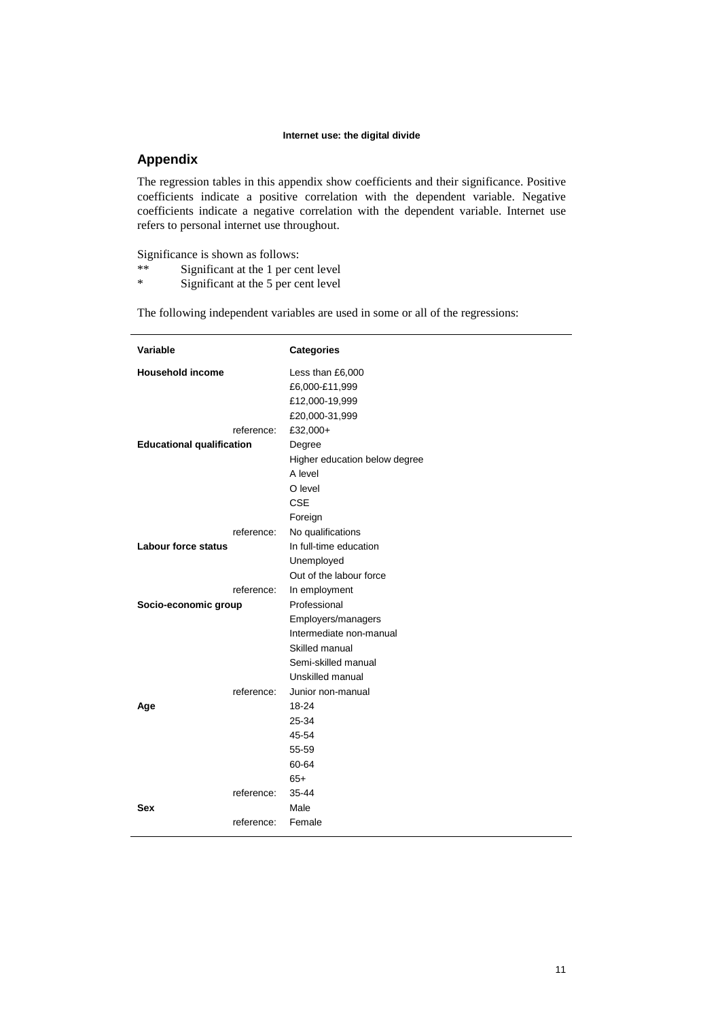# **Appendix**

The regression tables in this appendix show coefficients and their significance. Positive coefficients indicate a positive correlation with the dependent variable. Negative coefficients indicate a negative correlation with the dependent variable. Internet use refers to personal internet use throughout.

Significance is shown as follows:

- \*\* Significant at the 1 per cent level
- \* Significant at the 5 per cent level

The following independent variables are used in some or all of the regressions:

| Variable                         |            | <b>Categories</b>             |
|----------------------------------|------------|-------------------------------|
| <b>Household income</b>          |            | Less than £6,000              |
|                                  |            | £6,000-£11,999                |
|                                  |            | £12,000-19,999                |
|                                  |            | £20,000-31,999                |
|                                  | reference: | £32,000+                      |
| <b>Educational qualification</b> |            | Degree                        |
|                                  |            | Higher education below degree |
|                                  |            | A level                       |
|                                  |            | O level                       |
|                                  |            | <b>CSE</b>                    |
|                                  |            | Foreign                       |
|                                  | reference: | No qualifications             |
| <b>Labour force status</b>       |            | In full-time education        |
|                                  |            | Unemployed                    |
|                                  |            | Out of the labour force       |
|                                  | reference: | In employment                 |
| Socio-economic group             |            | Professional                  |
|                                  |            | Employers/managers            |
|                                  |            | Intermediate non-manual       |
|                                  |            | Skilled manual                |
|                                  |            | Semi-skilled manual           |
|                                  |            | Unskilled manual              |
|                                  | reference: | Junior non-manual             |
| Age                              |            | 18-24                         |
|                                  |            | 25-34                         |
|                                  |            | 45-54                         |
|                                  |            | 55-59                         |
|                                  |            | 60-64                         |
|                                  |            | $65+$                         |
|                                  | reference: | 35-44                         |
| Sex                              |            | Male                          |
|                                  | reference: | Female                        |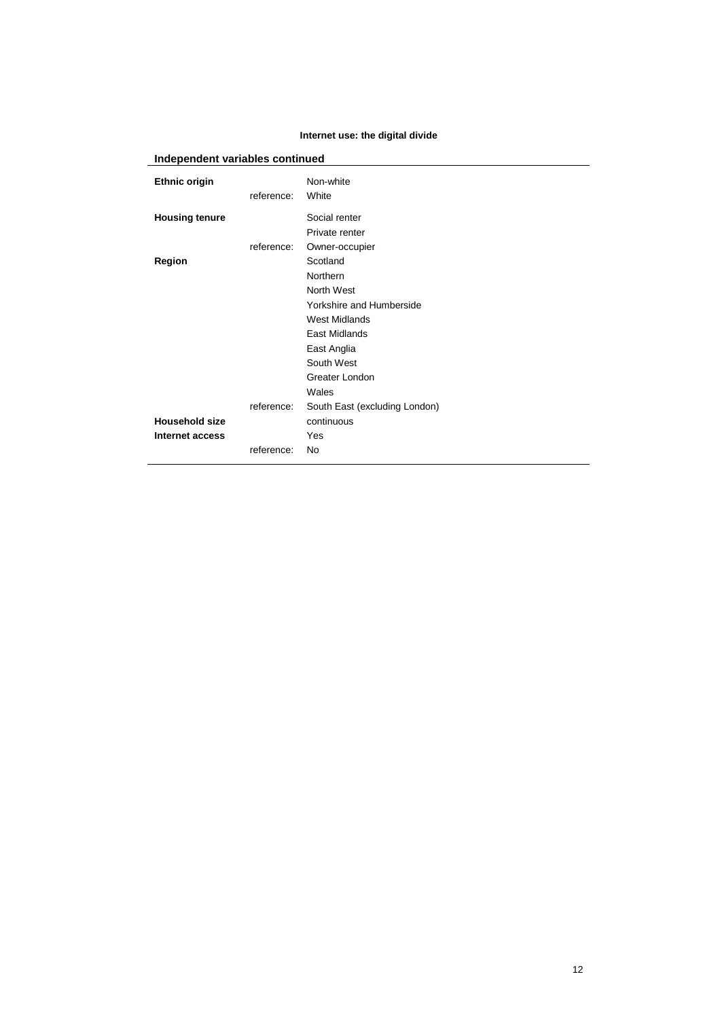# **Independent variables continued**

| <b>Ethnic origin</b>                     | reference: | Non-white<br>White                                             |
|------------------------------------------|------------|----------------------------------------------------------------|
| <b>Housing tenure</b>                    |            | Social renter<br>Private renter                                |
| Region                                   | reference: | Owner-occupier<br>Scotland<br>Northern                         |
|                                          |            | North West<br>Yorkshire and Humberside<br><b>West Midlands</b> |
|                                          |            | East Midlands<br>East Anglia                                   |
|                                          |            | South West<br>Greater London<br>Wales                          |
| <b>Household size</b><br>Internet access | reference: | South East (excluding London)<br>continuous<br>Yes             |
|                                          | reference: | No                                                             |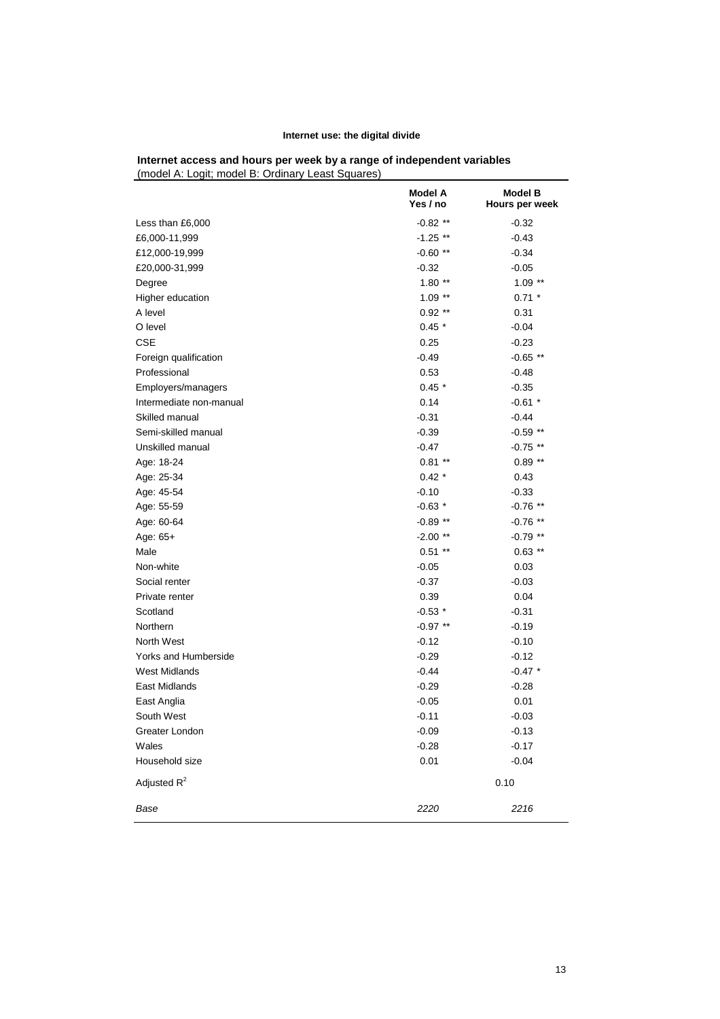| (model A: Logit, model B: Ordinary Least Squares) |                     |                                  |
|---------------------------------------------------|---------------------|----------------------------------|
|                                                   | Model A<br>Yes / no | <b>Model B</b><br>Hours per week |
| Less than £6,000                                  | $-0.82$ **          | $-0.32$                          |
| £6,000-11,999                                     | $-1.25$ **          | $-0.43$                          |
| £12,000-19,999                                    | $-0.60**$           | $-0.34$                          |
| £20,000-31,999                                    | $-0.32$             | $-0.05$                          |
| Degree                                            | $1.80**$            | $1.09$ **                        |
| Higher education                                  | $1.09**$            | $0.71$ *                         |
| A level                                           | $0.92$ **           | 0.31                             |
| O level                                           | $0.45*$             | $-0.04$                          |
| <b>CSE</b>                                        | 0.25                | $-0.23$                          |
| Foreign qualification                             | $-0.49$             | $-0.65$ **                       |
| Professional                                      | 0.53                | $-0.48$                          |
| Employers/managers                                | $0.45*$             | $-0.35$                          |
| Intermediate non-manual                           | 0.14                | $-0.61$ *                        |
| Skilled manual                                    | $-0.31$             | $-0.44$                          |
| Semi-skilled manual                               | $-0.39$             | $-0.59$ **                       |
| Unskilled manual                                  | $-0.47$             | $-0.75$ **                       |
| Age: 18-24                                        | $0.81**$            | $0.89**$                         |
| Age: 25-34                                        | $0.42 *$            | 0.43                             |
| Age: 45-54                                        | $-0.10$             | $-0.33$                          |
| Age: 55-59                                        | $-0.63$ *           | $-0.76$ **                       |
| Age: 60-64                                        | $-0.89$ **          | $-0.76$ **                       |
| Age: 65+                                          | $-2.00**$           | $-0.79$ **                       |
| Male                                              | $0.51**$            | $0.63$ **                        |
| Non-white                                         | $-0.05$             | 0.03                             |
| Social renter                                     | $-0.37$             | -0.03                            |
| Private renter                                    | 0.39                | 0.04                             |
| Scotland                                          | $-0.53$ *           | $-0.31$                          |
| Northern                                          | $-0.97$ **          | $-0.19$                          |
| North West                                        | $-0.12$             | $-0.10$                          |
| Yorks and Humberside                              | $-0.29$             | $-0.12$                          |
| <b>West Midlands</b>                              | $-0.44$             | $-0.47$ *                        |
| <b>East Midlands</b>                              | $-0.29$             | $-0.28$                          |
| East Anglia                                       | $-0.05$             | 0.01                             |
| South West                                        | $-0.11$             | $-0.03$                          |
| Greater London                                    | $-0.09$             | $-0.13$                          |
| Wales                                             | $-0.28$             | $-0.17$                          |
| Household size                                    | 0.01                | $-0.04$                          |
| Adjusted $R^2$                                    |                     | 0.10                             |
| Base                                              | 2220                | 2216                             |

#### **Internet access and hours per week by a range of independent variables**  (model A: Logit; model B: Ordinary Least Squares)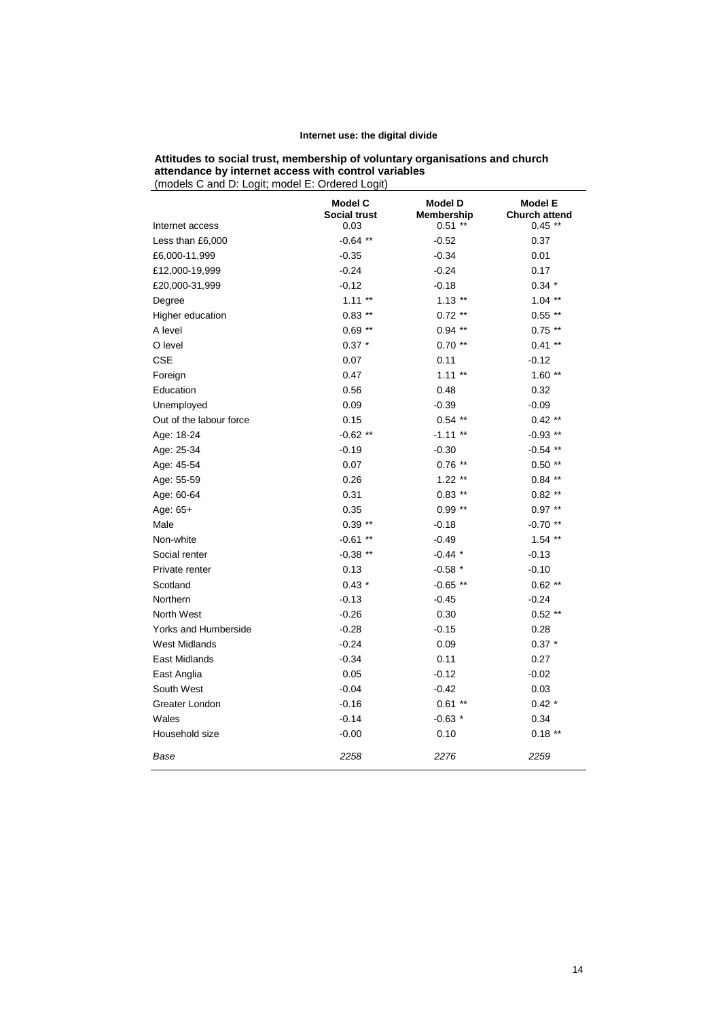| (illouels C ariu D. Logit, filouel E. Ordered Logit) |                                |                                     |                                        |  |  |
|------------------------------------------------------|--------------------------------|-------------------------------------|----------------------------------------|--|--|
|                                                      | Model C<br><b>Social trust</b> | <b>Model D</b><br><b>Membership</b> | <b>Model E</b><br><b>Church attend</b> |  |  |
| Internet access                                      | 0.03                           | $0.51$ **                           | $0.45$ **                              |  |  |
| Less than £6,000                                     | $-0.64$ **                     | $-0.52$                             | 0.37                                   |  |  |
| £6,000-11,999                                        | $-0.35$                        | $-0.34$                             | 0.01                                   |  |  |
| £12,000-19,999                                       | $-0.24$                        | $-0.24$                             | 0.17                                   |  |  |
| £20,000-31,999                                       | $-0.12$                        | $-0.18$                             | $0.34*$                                |  |  |
| Degree                                               | $1.11***$                      | $1.13$ **                           | $1.04$ **                              |  |  |
| Higher education                                     | $0.83$ **                      | $0.72$ **                           | $0.55**$                               |  |  |
| A level                                              | $0.69**$                       | $0.94$ **                           | $0.75$ **                              |  |  |
| O level                                              | $0.37 *$                       | $0.70**$                            | $0.41***$                              |  |  |
| <b>CSE</b>                                           | 0.07                           | 0.11                                | $-0.12$                                |  |  |
| Foreign                                              | 0.47                           | $1.11***$                           | $1.60**$                               |  |  |
| Education                                            | 0.56                           | 0.48                                | 0.32                                   |  |  |
| Unemployed                                           | 0.09                           | $-0.39$                             | $-0.09$                                |  |  |
| Out of the labour force                              | 0.15                           | $0.54$ **                           | $0.42$ **                              |  |  |
| Age: 18-24                                           | $-0.62$ **                     | $-1.11$ **                          | $-0.93**$                              |  |  |
| Age: 25-34                                           | $-0.19$                        | $-0.30$                             | $-0.54$ **                             |  |  |
| Age: 45-54                                           | 0.07                           | $0.76$ **                           | $0.50**$                               |  |  |
| Age: 55-59                                           | 0.26                           | $1.22**$                            | $0.84$ **                              |  |  |
| Age: 60-64                                           | 0.31                           | $0.83$ **                           | $0.82**$                               |  |  |
| Age: 65+                                             | 0.35                           | $0.99**$                            | $0.97**$                               |  |  |
| Male                                                 | $0.39**$                       | $-0.18$                             | $-0.70$ **                             |  |  |
| Non-white                                            | $-0.61$ **                     | $-0.49$                             | $1.54$ **                              |  |  |
| Social renter                                        | $-0.38$ **                     | $-0.44$ *                           | $-0.13$                                |  |  |
| Private renter                                       | 0.13                           | $-0.58$ *                           | $-0.10$                                |  |  |
| Scotland                                             | $0.43*$                        | $-0.65$ **                          | $0.62**$                               |  |  |
| Northern                                             | $-0.13$                        | $-0.45$                             | $-0.24$                                |  |  |
| North West                                           | $-0.26$                        | 0.30                                | $0.52**$                               |  |  |
| <b>Yorks and Humberside</b>                          | $-0.28$                        | $-0.15$                             | 0.28                                   |  |  |
| <b>West Midlands</b>                                 | $-0.24$                        | 0.09                                | $0.37 *$                               |  |  |
| East Midlands                                        | $-0.34$                        | 0.11                                | 0.27                                   |  |  |
| East Anglia                                          | 0.05                           | $-0.12$                             | $-0.02$                                |  |  |
| South West                                           | $-0.04$                        | $-0.42$                             | 0.03                                   |  |  |
| Greater London                                       | $-0.16$                        | $0.61**$                            | $0.42*$                                |  |  |
| Wales                                                | $-0.14$                        | $-0.63$ *                           | 0.34                                   |  |  |
| Household size                                       | $-0.00$                        | 0.10                                | $0.18**$                               |  |  |
| Base                                                 | 2258                           | 2276                                | 2259                                   |  |  |

**Attitudes to social trust, membership of voluntary organisations and church attendance by internet access with control variables**  (models C and D: Logit; model E: Ordered Logit)